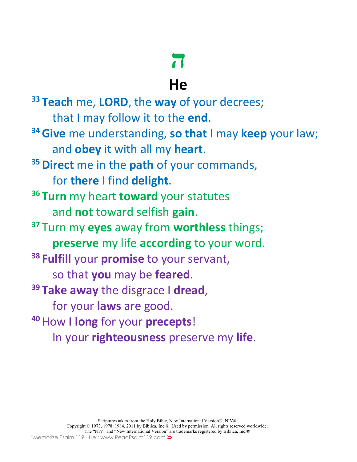# **ה**

## **He**

**<sup>33</sup> Teach** me, **LORD**, the **way** of your decrees; that I may follow it to the **end**. **34Give** me understanding, **so that** I may **keep** your law; and **obey** it with all my **heart**. **35Direct** me in the **path** of your commands, for **there** I find **delight**. **<sup>36</sup> Turn** my heart **toward** your statutes and **not** toward selfish **gain**. **<sup>37</sup>** Turn my **eyes** away from **worthless** things; **preserve** my life **according** to your word. **<sup>38</sup> Fulfill** your **promise** to your servant, so that **you** may be **feared**. **<sup>39</sup> Take away** the disgrace I **dread**, for your **laws** are good. **<sup>40</sup>**How **I long** for your **precepts**! In your **righteousness** preserve my **life**.